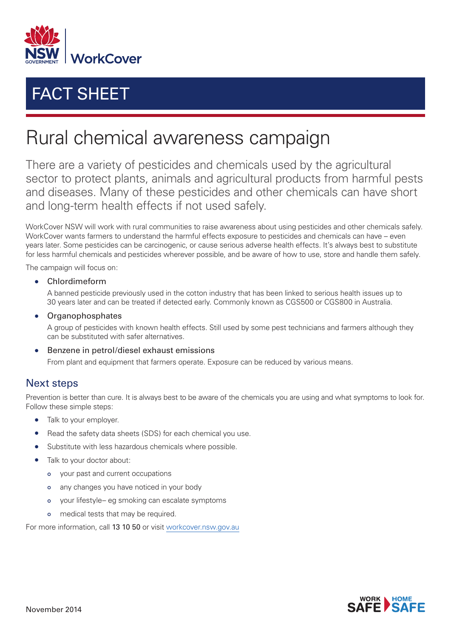

## FACT SHEET

## Rural chemical awareness campaign

There are a variety of pesticides and chemicals used by the agricultural sector to protect plants, animals and agricultural products from harmful pests and diseases. Many of these pesticides and other chemicals can have short and long-term health effects if not used safely.

WorkCover NSW will work with rural communities to raise awareness about using pesticides and other chemicals safely. WorkCover wants farmers to understand the harmful effects exposure to pesticides and chemicals can have – even years later. Some pesticides can be carcinogenic, or cause serious adverse health effects. It's always best to substitute for less harmful chemicals and pesticides wherever possible, and be aware of how to use, store and handle them safely.

The campaign will focus on:

• Chlordimeform

A banned pesticide previously used in the cotton industry that has been linked to serious health issues up to 30 years later and can be treated if detected early. Commonly known as CGS500 or CGS800 in Australia.

• Organophosphates

A group of pesticides with known health effects. Still used by some pest technicians and farmers although they can be substituted with safer alternatives.

• Benzene in petrol/diesel exhaust emissions

From plant and equipment that farmers operate. Exposure can be reduced by various means.

## Next steps

Prevention is better than cure. It is always best to be aware of the chemicals you are using and what symptoms to look for. Follow these simple steps:

- Talk to your employer.
- Read the safety data sheets (SDS) for each chemical you use.
- Substitute with less hazardous chemicals where possible.
- Talk to your doctor about:
	- your past and current occupations
	- any changes you have noticed in your body  $\Omega$
	- your lifestyle– eg smoking can escalate symptoms
	- medical tests that may be required.

For more information, call 13 10 50 or visit [workcover.nsw.gov.au](http://www.workcover.nsw.gov.au)